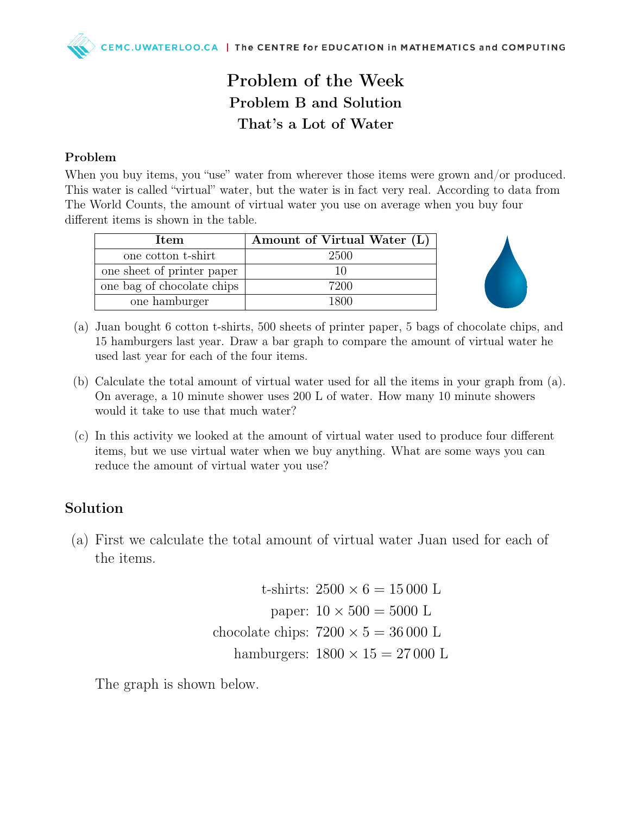## Problem of the Week Problem B and Solution That's a Lot of Water

## Problem

When you buy items, you "use" water from wherever those items were grown and/or produced. This water is called "virtual" water, but the water is in fact very real. According to data from The World Counts, the amount of virtual water you use on average when you buy four different items is shown in the table.

| <b>Item</b>                | Amount of Virtual Water (L) |
|----------------------------|-----------------------------|
| one cotton t-shirt         | 2500                        |
| one sheet of printer paper |                             |
| one bag of chocolate chips | 7200                        |
| one hamburger              | 1800 L                      |



- (a) Juan bought 6 cotton t-shirts, 500 sheets of printer paper, 5 bags of chocolate chips, and 15 hamburgers last year. Draw a bar graph to compare the amount of virtual water he used last year for each of the four items.
- (b) Calculate the total amount of virtual water used for all the items in your graph from (a). On average, a 10 minute shower uses 200 L of water. How many 10 minute showers would it take to use that much water?
- (c) In this activity we looked at the amount of virtual water used to produce four different items, but we use virtual water when we buy anything. What are some ways you can reduce the amount of virtual water you use?

## Solution

(a) First we calculate the total amount of virtual water Juan used for each of the items.

> t-shirts:  $2500 \times 6 = 15000$  L paper:  $10 \times 500 = 5000$  L chocolate chips:  $7200 \times 5 = 36000$  L hamburgers:  $1800 \times 15 = 27000$  L

The graph is shown below.